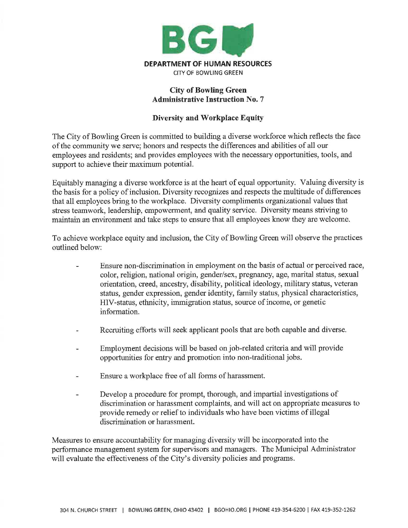

## **City of Bowling Green Administrative Instruction No.** 7

## **Diversity and Workplace Equity**

The City of Bowling Green is committed to building a diverse workforce which reflects the face of the community we serve; honors and respects the differences and abilities of all our employees and residents; and provides employees with the necessary opportunities, tools, and support to achieve their maximum potential.

Equitably managing a diverse workforce is at the heart of equal opportunity. Valuing diversity is the basis for a policy of inclusion. Diversity recognizes and respects the multitude of differences that all employees bring to the workplace. Diversity compliments organizational values that stress teamwork, leadership, empowerment, and quality service. Diversity means striving to maintain an environment and take steps to ensure that all employees know they are welcome.

To achieve workplace equity and inclusion, the City of Bowling Green will observe the practices outlined below:

- Ensure non-discrimination in employment on the basis of actual or perceived race, color, religion, national origin, gender/sex, pregnancy, age, marital status, sexual orientation, creed, ancestry, disability, political ideology, military status, veteran status, gender expression, gender identity, family status, physical characteristics, HIV-status, ethnicity, immigration status, source of income, or genetic information.
- Recruiting efforts will seek applicant pools that are both capable and diverse.
- Employment decisions will be based on job-related criteria and will provide opportunities for entry and promotion into non-traditional jobs.
- Ensure a workplace free of all forms of harassment.
- Develop a procedure for prompt, thorough, and impartial investigations of discrimination or harassment complaints, and will act on appropriate measures to provide remedy or relief to individuals who have been victims of illegal discrimination or harassment.

Measures to ensure accountability for managing diversity will be incorporated into the performance management system for supervisors and managers. The Municipal Administrator will evaluate the effectiveness of the City's diversity policies and programs.